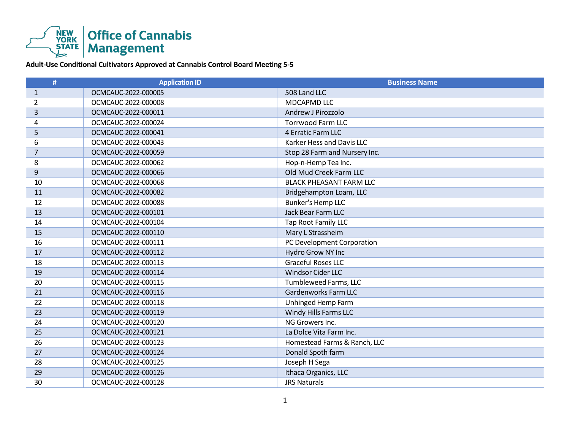

**Adult-Use Conditional Cultivators Approved at Cannabis Control Board Meeting 5-5**

| #              | <b>Application ID</b> | <b>Business Name</b>           |
|----------------|-----------------------|--------------------------------|
| $\mathbf{1}$   | OCMCAUC-2022-000005   | 508 Land LLC                   |
| 2              | OCMCAUC-2022-000008   | MDCAPMD LLC                    |
| 3              | OCMCAUC-2022-000011   | Andrew J Pirozzolo             |
| 4              | OCMCAUC-2022-000024   | <b>Torrwood Farm LLC</b>       |
| 5              | OCMCAUC-2022-000041   | 4 Erratic Farm LLC             |
| 6              | OCMCAUC-2022-000043   | Karker Hess and Davis LLC      |
| $\overline{7}$ | OCMCAUC-2022-000059   | Stop 28 Farm and Nursery Inc.  |
| 8              | OCMCAUC-2022-000062   | Hop-n-Hemp Tea Inc.            |
| 9              | OCMCAUC-2022-000066   | Old Mud Creek Farm LLC         |
| 10             | OCMCAUC-2022-000068   | <b>BLACK PHEASANT FARM LLC</b> |
| 11             | OCMCAUC-2022-000082   | Bridgehampton Loam, LLC        |
| 12             | OCMCAUC-2022-000088   | <b>Bunker's Hemp LLC</b>       |
| 13             | OCMCAUC-2022-000101   | Jack Bear Farm LLC             |
| 14             | OCMCAUC-2022-000104   | <b>Tap Root Family LLC</b>     |
| 15             | OCMCAUC-2022-000110   | Mary L Strassheim              |
| 16             | OCMCAUC-2022-000111   | PC Development Corporation     |
| 17             | OCMCAUC-2022-000112   | Hydro Grow NY Inc              |
| 18             | OCMCAUC-2022-000113   | <b>Graceful Roses LLC</b>      |
| 19             | OCMCAUC-2022-000114   | <b>Windsor Cider LLC</b>       |
| 20             | OCMCAUC-2022-000115   | Tumbleweed Farms, LLC          |
| 21             | OCMCAUC-2022-000116   | Gardenworks Farm LLC           |
| 22             | OCMCAUC-2022-000118   | Unhinged Hemp Farm             |
| 23             | OCMCAUC-2022-000119   | Windy Hills Farms LLC          |
| 24             | OCMCAUC-2022-000120   | NG Growers Inc.                |
| 25             | OCMCAUC-2022-000121   | La Dolce Vita Farm Inc.        |
| 26             | OCMCAUC-2022-000123   | Homestead Farms & Ranch, LLC   |
| 27             | OCMCAUC-2022-000124   | Donald Spoth farm              |
| 28             | OCMCAUC-2022-000125   | Joseph H Sega                  |
| 29             | OCMCAUC-2022-000126   | Ithaca Organics, LLC           |
| 30             | OCMCAUC-2022-000128   | <b>JRS Naturals</b>            |